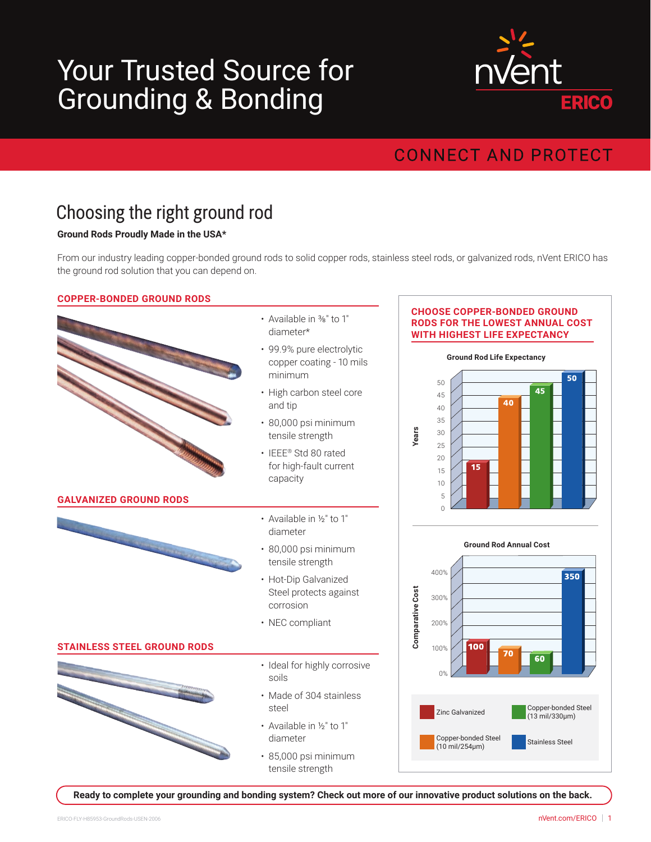# Your Trusted Source for Grounding & Bonding



### **CONNECT AND PROTECT**

## Choosing the right ground rod

#### **Ground Rods Proudly Made in the USA\***

From our industry leading copper-bonded ground rods to solid copper rods, stainless steel rods, or galvanized rods, nVent ERICO has the ground rod solution that you can depend on.

#### **COPPER-BONDED GROUND RODS**



**Ready to complete your grounding and bonding system? Check out more of our innovative product solutions on the back.**